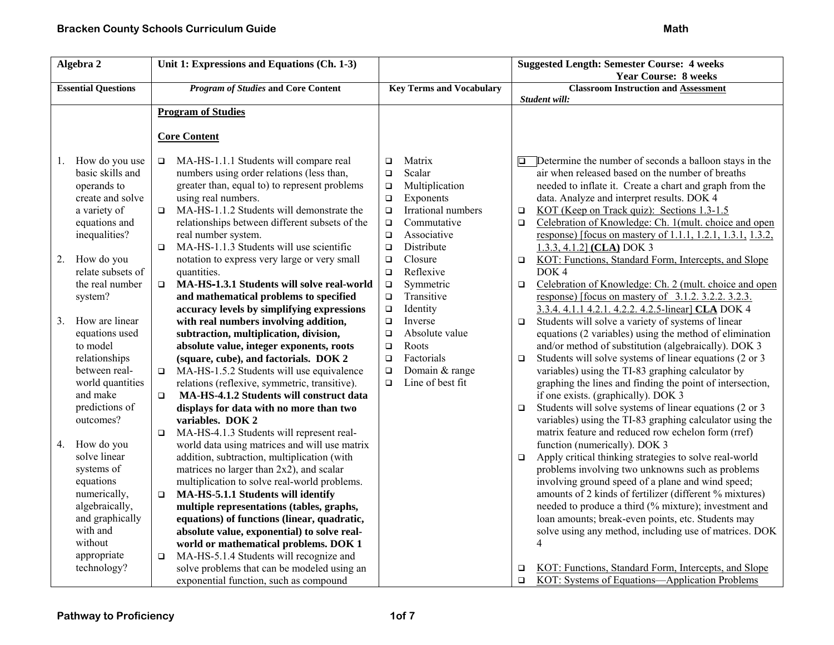| Algebra 2                  |                   | Unit 1: Expressions and Equations (Ch. 1-3)                   | <b>Suggested Length: Semester Course: 4 weeks</b> |                                 |                                                              |                                                              |
|----------------------------|-------------------|---------------------------------------------------------------|---------------------------------------------------|---------------------------------|--------------------------------------------------------------|--------------------------------------------------------------|
|                            |                   |                                                               |                                                   |                                 |                                                              | <b>Year Course: 8 weeks</b>                                  |
| <b>Essential Questions</b> |                   | <b>Program of Studies and Core Content</b>                    |                                                   | <b>Key Terms and Vocabulary</b> | <b>Classroom Instruction and Assessment</b><br>Student will: |                                                              |
|                            |                   | <b>Program of Studies</b>                                     |                                                   |                                 |                                                              |                                                              |
|                            |                   |                                                               |                                                   |                                 |                                                              |                                                              |
|                            |                   | <b>Core Content</b>                                           |                                                   |                                 |                                                              |                                                              |
|                            |                   |                                                               |                                                   |                                 |                                                              |                                                              |
| 1.                         | How do you use    | MA-HS-1.1.1 Students will compare real<br>$\Box$<br>$\Box$    |                                                   | Matrix                          |                                                              | Determine the number of seconds a balloon stays in the       |
|                            | basic skills and  | numbers using order relations (less than,<br>$\Box$           |                                                   | Scalar                          |                                                              | air when released based on the number of breaths             |
|                            | operands to       | greater than, equal to) to represent problems<br>$\Box$       |                                                   | Multiplication                  |                                                              | needed to inflate it. Create a chart and graph from the      |
|                            | create and solve  | using real numbers.<br>$\Box$                                 |                                                   | Exponents                       |                                                              | data. Analyze and interpret results. DOK 4                   |
|                            | a variety of      | MA-HS-1.1.2 Students will demonstrate the<br>$\Box$           | $\Box$                                            | Irrational numbers              | $\Box$                                                       | KOT (Keep on Track quiz): Sections 1.3-1.5                   |
|                            | equations and     | relationships between different subsets of the                | $\Box$                                            | Commutative                     | $\Box$                                                       | Celebration of Knowledge: Ch. 1(mult. choice and open        |
|                            | inequalities?     | real number system.<br>$\Box$                                 |                                                   | Associative                     |                                                              | response) [focus on mastery of 1.1.1, 1.2.1, 1.3.1, 1.3.2,   |
|                            |                   | MA-HS-1.1.3 Students will use scientific<br>$\Box$            | $\Box$                                            | Distribute                      |                                                              | $1.3.3, 4.1.2$ (CLA) DOK 3                                   |
| 2.                         | How do you        | notation to express very large or very small<br>$\Box$        |                                                   | Closure                         | $\Box$                                                       | KOT: Functions, Standard Form, Intercepts, and Slope         |
|                            | relate subsets of | quantities.                                                   | $\Box$                                            | Reflexive                       |                                                              | DOK <sub>4</sub>                                             |
|                            | the real number   | MA-HS-1.3.1 Students will solve real-world<br>$\Box$          | $\Box$                                            | Symmetric                       | $\Box$                                                       | Celebration of Knowledge: Ch. 2 (mult. choice and open       |
|                            | system?           | and mathematical problems to specified                        | $\Box$                                            | Transitive                      |                                                              | response) [focus on mastery of $3.1.2$ . $3.2.2$ . $3.2.3$ . |
|                            |                   | accuracy levels by simplifying expressions                    | $\Box$                                            | Identity                        |                                                              | 3.3.4. 4.1.1 4.2.1. 4.2.2. 4.2.5-linear] CLA DOK 4           |
| 3.                         | How are linear    | with real numbers involving addition,<br>$\Box$               |                                                   | Inverse                         | $\Box$                                                       | Students will solve a variety of systems of linear           |
|                            | equations used    | subtraction, multiplication, division,<br>$\Box$              |                                                   | Absolute value                  |                                                              | equations (2 variables) using the method of elimination      |
|                            | to model          | absolute value, integer exponents, roots                      | $\Box$                                            | Roots                           |                                                              | and/or method of substitution (algebraically). DOK 3         |
|                            | relationships     | (square, cube), and factorials. DOK 2<br>$\Box$               |                                                   | Factorials                      | $\Box$                                                       | Students will solve systems of linear equations (2 or 3)     |
|                            | between real-     | MA-HS-1.5.2 Students will use equivalence<br>$\Box$<br>$\Box$ |                                                   | Domain & range                  |                                                              | variables) using the TI-83 graphing calculator by            |
|                            | world quantities  | relations (reflexive, symmetric, transitive).                 | $\Box$                                            | Line of best fit                |                                                              | graphing the lines and finding the point of intersection,    |
|                            | and make          | MA-HS-4.1.2 Students will construct data<br>$\Box$            |                                                   |                                 |                                                              | if one exists. (graphically). DOK 3                          |
|                            | predictions of    | displays for data with no more than two                       |                                                   |                                 | $\Box$                                                       | Students will solve systems of linear equations (2 or 3      |
|                            | outcomes?         | variables. DOK 2                                              |                                                   |                                 |                                                              | variables) using the TI-83 graphing calculator using the     |
|                            |                   | MA-HS-4.1.3 Students will represent real-<br>$\Box$           |                                                   |                                 |                                                              | matrix feature and reduced row echelon form (rref)           |
| 4.                         | How do you        | world data using matrices and will use matrix                 |                                                   |                                 |                                                              | function (numerically). DOK 3                                |
|                            | solve linear      | addition, subtraction, multiplication (with                   |                                                   |                                 | $\Box$                                                       | Apply critical thinking strategies to solve real-world       |
|                            | systems of        | matrices no larger than 2x2), and scalar                      |                                                   |                                 |                                                              | problems involving two unknowns such as problems             |
|                            | equations         | multiplication to solve real-world problems.                  |                                                   |                                 |                                                              | involving ground speed of a plane and wind speed;            |
|                            | numerically,      | MA-HS-5.1.1 Students will identify<br>$\Box$                  |                                                   |                                 |                                                              | amounts of 2 kinds of fertilizer (different % mixtures)      |
|                            | algebraically,    | multiple representations (tables, graphs,                     |                                                   |                                 |                                                              | needed to produce a third (% mixture); investment and        |
|                            | and graphically   | equations) of functions (linear, quadratic,                   |                                                   |                                 |                                                              | loan amounts; break-even points, etc. Students may           |
|                            | with and          | absolute value, exponential) to solve real-                   |                                                   |                                 |                                                              | solve using any method, including use of matrices. DOK       |
|                            | without           | world or mathematical problems. DOK 1                         |                                                   |                                 |                                                              | $\overline{4}$                                               |
|                            | appropriate       | MA-HS-5.1.4 Students will recognize and<br>$\Box$             |                                                   |                                 |                                                              |                                                              |
|                            | technology?       | solve problems that can be modeled using an                   |                                                   |                                 | □                                                            | KOT: Functions, Standard Form, Intercepts, and Slope         |
|                            |                   | exponential function, such as compound                        |                                                   |                                 | $\Box$                                                       | KOT: Systems of Equations—Application Problems               |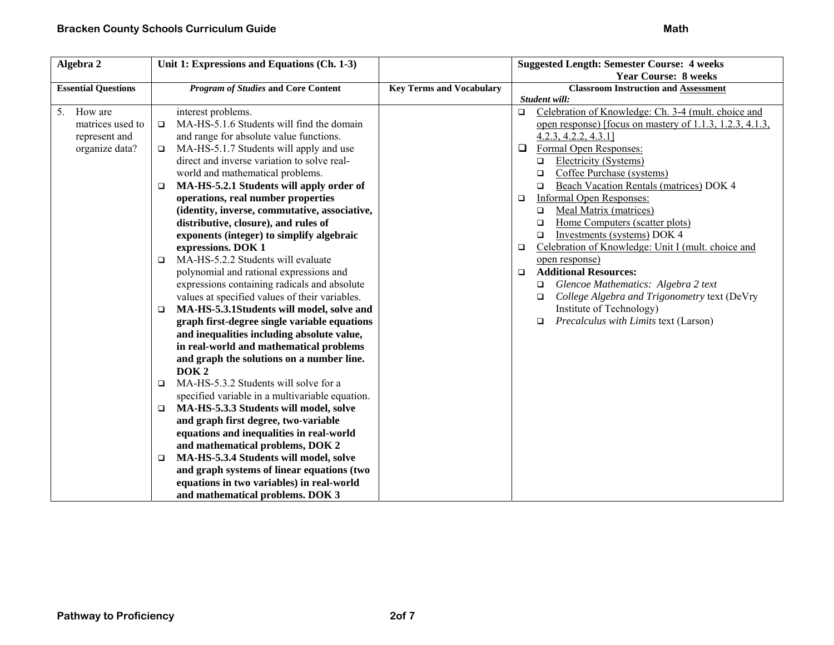| Algebra 2                  | Unit 1: Expressions and Equations (Ch. 1-3)         |                                 | <b>Suggested Length: Semester Course: 4 weeks</b>             |
|----------------------------|-----------------------------------------------------|---------------------------------|---------------------------------------------------------------|
|                            |                                                     |                                 | <b>Year Course: 8 weeks</b>                                   |
| <b>Essential Questions</b> | <b>Program of Studies and Core Content</b>          | <b>Key Terms and Vocabulary</b> | <b>Classroom Instruction and Assessment</b>                   |
|                            |                                                     |                                 | Student will:                                                 |
| 5. How are                 | interest problems.                                  |                                 | Celebration of Knowledge: Ch. 3-4 (mult. choice and<br>$\Box$ |
| matrices used to           | MA-HS-5.1.6 Students will find the domain<br>$\Box$ |                                 | open response) [focus on mastery of 1.1.3, 1.2.3, 4.1.3,      |
| represent and              | and range for absolute value functions.             |                                 | $4.2.3, 4.2.2, 4.3.1$ ]                                       |
| organize data?             | MA-HS-5.1.7 Students will apply and use<br>$\Box$   |                                 | Formal Open Responses:<br>$\Box$                              |
|                            | direct and inverse variation to solve real-         |                                 | Electricity (Systems)<br>□                                    |
|                            | world and mathematical problems.                    |                                 | Coffee Purchase (systems)<br>$\Box$                           |
|                            | MA-HS-5.2.1 Students will apply order of<br>□       |                                 | Beach Vacation Rentals (matrices) DOK 4<br>$\Box$             |
|                            | operations, real number properties                  |                                 | <b>Informal Open Responses:</b><br>$\Box$                     |
|                            | (identity, inverse, commutative, associative,       |                                 | Meal Matrix (matrices)<br>$\Box$                              |
|                            | distributive, closure), and rules of                |                                 | Home Computers (scatter plots)<br>$\Box$                      |
|                            | exponents (integer) to simplify algebraic           |                                 | Investments (systems) DOK 4<br>$\Box$                         |
|                            | expressions. DOK 1                                  |                                 | Celebration of Knowledge: Unit I (mult. choice and<br>$\Box$  |
|                            | MA-HS-5.2.2 Students will evaluate<br>$\Box$        |                                 | open response)                                                |
|                            | polynomial and rational expressions and             |                                 | <b>Additional Resources:</b><br>$\Box$                        |
|                            | expressions containing radicals and absolute        |                                 | Glencoe Mathematics: Algebra 2 text<br>□                      |
|                            | values at specified values of their variables.      |                                 | College Algebra and Trigonometry text (DeVry<br>□             |
|                            | MA-HS-5.3.1Students will model, solve and<br>□      |                                 | Institute of Technology)                                      |
|                            | graph first-degree single variable equations        |                                 | Precalculus with Limits text (Larson)<br>$\Box$               |
|                            | and inequalities including absolute value,          |                                 |                                                               |
|                            | in real-world and mathematical problems             |                                 |                                                               |
|                            | and graph the solutions on a number line.           |                                 |                                                               |
|                            | DOK <sub>2</sub>                                    |                                 |                                                               |
|                            | MA-HS-5.3.2 Students will solve for a<br>$\Box$     |                                 |                                                               |
|                            | specified variable in a multivariable equation.     |                                 |                                                               |
|                            | MA-HS-5.3.3 Students will model, solve<br>$\Box$    |                                 |                                                               |
|                            | and graph first degree, two-variable                |                                 |                                                               |
|                            | equations and inequalities in real-world            |                                 |                                                               |
|                            | and mathematical problems, DOK 2                    |                                 |                                                               |
|                            | MA-HS-5.3.4 Students will model, solve<br>$\Box$    |                                 |                                                               |
|                            | and graph systems of linear equations (two          |                                 |                                                               |
|                            | equations in two variables) in real-world           |                                 |                                                               |
|                            | and mathematical problems. DOK 3                    |                                 |                                                               |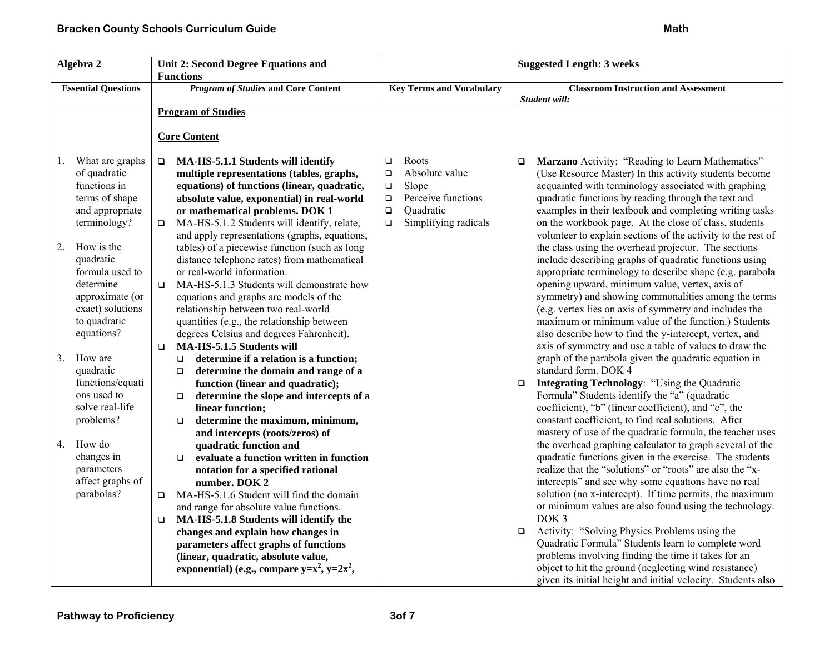| Algebra 2                                                                                                                                                                                                                                                                      | Unit 2: Second Degree Equations and                                                                                                                                                                                                                                                                                                                                                                                                                                                                                                                                                                                                                                                                                                                                                                                                             |                                                                                                                                                         | <b>Suggested Length: 3 weeks</b>                                                                                                                                                                                                                                                                                                                                                                                                                                                                                                                                                                                                                                                                                                                                                                                                                                                                                                                                                                                                     |
|--------------------------------------------------------------------------------------------------------------------------------------------------------------------------------------------------------------------------------------------------------------------------------|-------------------------------------------------------------------------------------------------------------------------------------------------------------------------------------------------------------------------------------------------------------------------------------------------------------------------------------------------------------------------------------------------------------------------------------------------------------------------------------------------------------------------------------------------------------------------------------------------------------------------------------------------------------------------------------------------------------------------------------------------------------------------------------------------------------------------------------------------|---------------------------------------------------------------------------------------------------------------------------------------------------------|--------------------------------------------------------------------------------------------------------------------------------------------------------------------------------------------------------------------------------------------------------------------------------------------------------------------------------------------------------------------------------------------------------------------------------------------------------------------------------------------------------------------------------------------------------------------------------------------------------------------------------------------------------------------------------------------------------------------------------------------------------------------------------------------------------------------------------------------------------------------------------------------------------------------------------------------------------------------------------------------------------------------------------------|
| <b>Essential Questions</b>                                                                                                                                                                                                                                                     | <b>Functions</b><br><b>Program of Studies and Core Content</b>                                                                                                                                                                                                                                                                                                                                                                                                                                                                                                                                                                                                                                                                                                                                                                                  | <b>Key Terms and Vocabulary</b>                                                                                                                         | <b>Classroom Instruction and Assessment</b><br>Student will:                                                                                                                                                                                                                                                                                                                                                                                                                                                                                                                                                                                                                                                                                                                                                                                                                                                                                                                                                                         |
|                                                                                                                                                                                                                                                                                | <b>Program of Studies</b>                                                                                                                                                                                                                                                                                                                                                                                                                                                                                                                                                                                                                                                                                                                                                                                                                       |                                                                                                                                                         |                                                                                                                                                                                                                                                                                                                                                                                                                                                                                                                                                                                                                                                                                                                                                                                                                                                                                                                                                                                                                                      |
|                                                                                                                                                                                                                                                                                | <b>Core Content</b>                                                                                                                                                                                                                                                                                                                                                                                                                                                                                                                                                                                                                                                                                                                                                                                                                             |                                                                                                                                                         |                                                                                                                                                                                                                                                                                                                                                                                                                                                                                                                                                                                                                                                                                                                                                                                                                                                                                                                                                                                                                                      |
| What are graphs<br>1.<br>of quadratic<br>functions in<br>terms of shape<br>and appropriate<br>terminology?<br>How is the<br>2.<br>quadratic<br>formula used to<br>determine<br>approximate (or<br>exact) solutions<br>to quadratic<br>equations?<br>3.<br>How are<br>quadratic | MA-HS-5.1.1 Students will identify<br>$\Box$<br>multiple representations (tables, graphs,<br>equations) of functions (linear, quadratic,<br>absolute value, exponential) in real-world<br>or mathematical problems. DOK 1<br>MA-HS-5.1.2 Students will identify, relate,<br>$\Box$<br>and apply representations (graphs, equations,<br>tables) of a piecewise function (such as long<br>distance telephone rates) from mathematical<br>or real-world information.<br>MA-HS-5.1.3 Students will demonstrate how<br>$\Box$<br>equations and graphs are models of the<br>relationship between two real-world<br>quantities (e.g., the relationship between<br>degrees Celsius and degrees Fahrenheit).<br>MA-HS-5.1.5 Students will<br>$\Box$<br>determine if a relation is a function;<br>$\Box$<br>determine the domain and range of a<br>$\Box$ | Roots<br>$\Box$<br>Absolute value<br>$\Box$<br>Slope<br>$\Box$<br>Perceive functions<br>$\Box$<br>$\Box$<br>Quadratic<br>Simplifying radicals<br>$\Box$ | Marzano Activity: "Reading to Learn Mathematics"<br>$\Box$<br>(Use Resource Master) In this activity students become<br>acquainted with terminology associated with graphing<br>quadratic functions by reading through the text and<br>examples in their textbook and completing writing tasks<br>on the workbook page. At the close of class, students<br>volunteer to explain sections of the activity to the rest of<br>the class using the overhead projector. The sections<br>include describing graphs of quadratic functions using<br>appropriate terminology to describe shape (e.g. parabola<br>opening upward, minimum value, vertex, axis of<br>symmetry) and showing commonalities among the terms<br>(e.g. vertex lies on axis of symmetry and includes the<br>maximum or minimum value of the function.) Students<br>also describe how to find the y-intercept, vertex, and<br>axis of symmetry and use a table of values to draw the<br>graph of the parabola given the quadratic equation in<br>standard form. DOK 4 |
| functions/equati<br>ons used to<br>solve real-life<br>problems?<br>How do<br>4.<br>changes in<br>parameters<br>affect graphs of<br>parabolas?                                                                                                                                  | function (linear and quadratic);<br>determine the slope and intercepts of a<br>$\Box$<br>linear function;<br>determine the maximum, minimum,<br>$\Box$<br>and intercepts (roots/zeros) of<br>quadratic function and<br>evaluate a function written in function<br>$\Box$<br>notation for a specified rational<br>number. DOK 2<br>MA-HS-5.1.6 Student will find the domain<br>$\Box$<br>and range for absolute value functions.<br>MA-HS-5.1.8 Students will identify the<br>$\Box$<br>changes and explain how changes in<br>parameters affect graphs of functions<br>(linear, quadratic, absolute value,<br>exponential) (e.g., compare $y=x^2$ , $y=2x^2$ ,                                                                                                                                                                                   |                                                                                                                                                         | <b>Integrating Technology: "Using the Quadratic</b><br>$\Box$<br>Formula" Students identify the "a" (quadratic<br>coefficient), "b" (linear coefficient), and "c", the<br>constant coefficient, to find real solutions. After<br>mastery of use of the quadratic formula, the teacher uses<br>the overhead graphing calculator to graph several of the<br>quadratic functions given in the exercise. The students<br>realize that the "solutions" or "roots" are also the "x-<br>intercepts" and see why some equations have no real<br>solution (no x-intercept). If time permits, the maximum<br>or minimum values are also found using the technology.<br>DOK <sub>3</sub><br>Activity: "Solving Physics Problems using the<br>$\Box$<br>Quadratic Formula" Students learn to complete word<br>problems involving finding the time it takes for an<br>object to hit the ground (neglecting wind resistance)<br>given its initial height and initial velocity. Students also                                                       |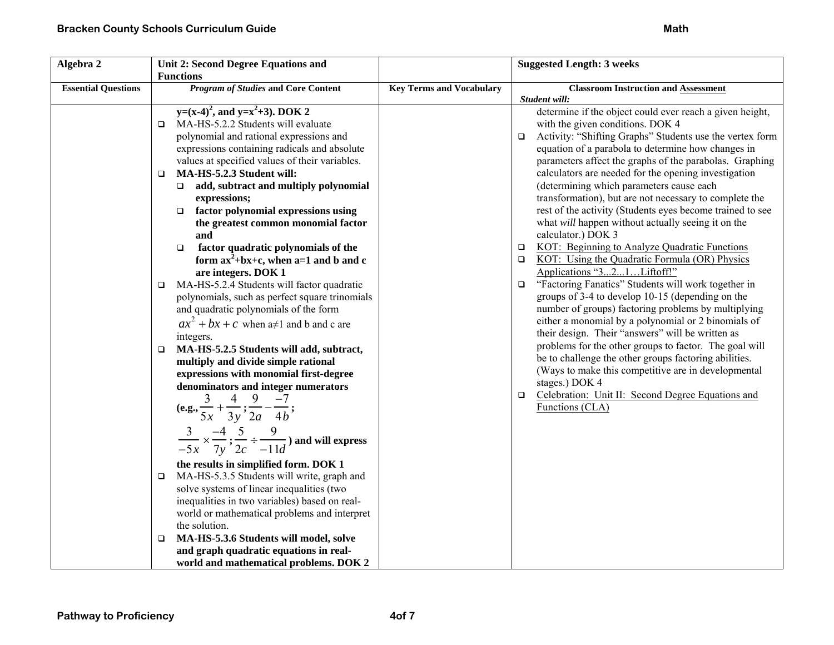| Algebra 2                  | Unit 2: Second Degree Equations and                                                                                                                                                                                                                                                                                                                                                                                                                                                                                                                                                                                                                                                                                                                                                                                                                                     |                                 | <b>Suggested Length: 3 weeks</b>                                                                                                                                                                                                                                                                                                                                                                                                                                                                                                                                                                                                                                                                                                                                                                                                 |
|----------------------------|-------------------------------------------------------------------------------------------------------------------------------------------------------------------------------------------------------------------------------------------------------------------------------------------------------------------------------------------------------------------------------------------------------------------------------------------------------------------------------------------------------------------------------------------------------------------------------------------------------------------------------------------------------------------------------------------------------------------------------------------------------------------------------------------------------------------------------------------------------------------------|---------------------------------|----------------------------------------------------------------------------------------------------------------------------------------------------------------------------------------------------------------------------------------------------------------------------------------------------------------------------------------------------------------------------------------------------------------------------------------------------------------------------------------------------------------------------------------------------------------------------------------------------------------------------------------------------------------------------------------------------------------------------------------------------------------------------------------------------------------------------------|
|                            | <b>Functions</b>                                                                                                                                                                                                                                                                                                                                                                                                                                                                                                                                                                                                                                                                                                                                                                                                                                                        |                                 |                                                                                                                                                                                                                                                                                                                                                                                                                                                                                                                                                                                                                                                                                                                                                                                                                                  |
| <b>Essential Questions</b> | <b>Program of Studies and Core Content</b>                                                                                                                                                                                                                                                                                                                                                                                                                                                                                                                                                                                                                                                                                                                                                                                                                              | <b>Key Terms and Vocabulary</b> | <b>Classroom Instruction and Assessment</b>                                                                                                                                                                                                                                                                                                                                                                                                                                                                                                                                                                                                                                                                                                                                                                                      |
|                            | $y=(x-4)^2$ , and $y=x^2+3$ ). DOK 2<br>MA-HS-5.2.2 Students will evaluate<br>$\Box$<br>polynomial and rational expressions and<br>expressions containing radicals and absolute<br>values at specified values of their variables.<br>MA-HS-5.2.3 Student will:<br>$\Box$<br>add, subtract and multiply polynomial<br>$\Box$<br>expressions;<br>factor polynomial expressions using<br>$\Box$<br>the greatest common monomial factor<br>and<br>factor quadratic polynomials of the<br>$\Box$<br>form $ax^2+bx+c$ , when $a=1$ and b and c<br>are integers. DOK 1<br>MA-HS-5.2.4 Students will factor quadratic<br>$\Box$                                                                                                                                                                                                                                                 |                                 | Student will:<br>determine if the object could ever reach a given height,<br>with the given conditions. DOK 4<br>Activity: "Shifting Graphs" Students use the vertex form<br>$\Box$<br>equation of a parabola to determine how changes in<br>parameters affect the graphs of the parabolas. Graphing<br>calculators are needed for the opening investigation<br>(determining which parameters cause each<br>transformation), but are not necessary to complete the<br>rest of the activity (Students eyes become trained to see<br>what will happen without actually seeing it on the<br>calculator.) DOK 3<br>KOT: Beginning to Analyze Quadratic Functions<br>$\Box$<br>KOT: Using the Quadratic Formula (OR) Physics<br>$\Box$<br>Applications "321Liftoff!"<br>"Factoring Fanatics" Students will work together in<br>$\Box$ |
|                            | polynomials, such as perfect square trinomials<br>and quadratic polynomials of the form<br>$ax^{2} + bx + c$ when a i and b and c are<br>integers.<br>MA-HS-5.2.5 Students will add, subtract,<br>$\Box$<br>multiply and divide simple rational<br>expressions with monomial first-degree<br>denominators and integer numerators<br>(e.g., $\frac{3}{5x} + \frac{4}{3y}$ ; $\frac{9}{2a} - \frac{-7}{4b}$ ;<br>$\frac{3}{-5x} \times \frac{-4}{7y}$ ; $\frac{5}{2c} \div \frac{9}{-11d}$ and will express<br>the results in simplified form. DOK 1<br>MA-HS-5.3.5 Students will write, graph and<br>$\Box$<br>solve systems of linear inequalities (two<br>inequalities in two variables) based on real-<br>world or mathematical problems and interpret<br>the solution.<br>MA-HS-5.3.6 Students will model, solve<br>$\Box$<br>and graph quadratic equations in real- |                                 | groups of 3-4 to develop 10-15 (depending on the<br>number of groups) factoring problems by multiplying<br>either a monomial by a polynomial or 2 binomials of<br>their design. Their "answers" will be written as<br>problems for the other groups to factor. The goal will<br>be to challenge the other groups factoring abilities.<br>(Ways to make this competitive are in developmental<br>stages.) DOK 4<br>Celebration: Unit II: Second Degree Equations and<br>$\Box$<br>Functions (CLA)                                                                                                                                                                                                                                                                                                                                 |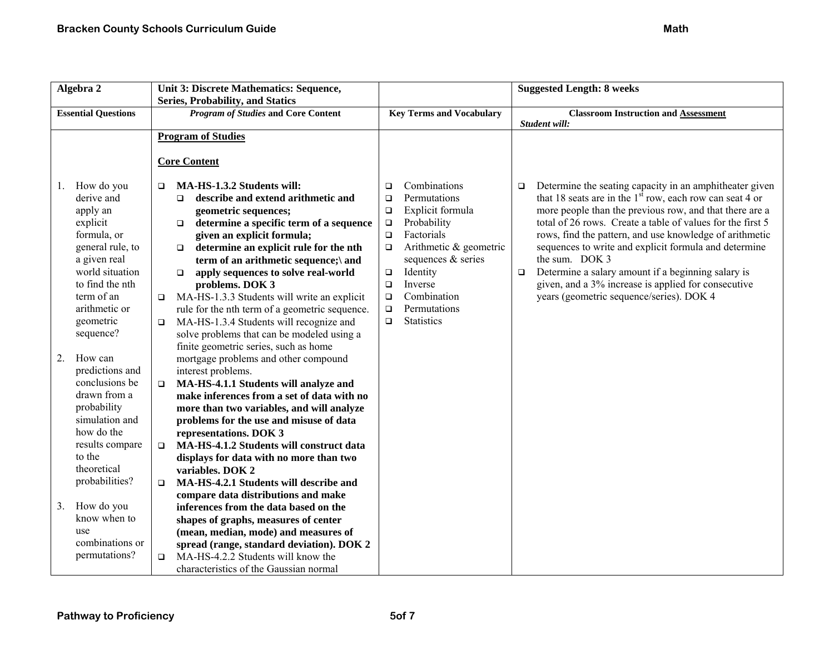| Algebra 2                  |                        |        | Unit 3: Discrete Mathematics: Sequence,           |        |                                 |        | <b>Suggested Length: 8 weeks</b>                           |
|----------------------------|------------------------|--------|---------------------------------------------------|--------|---------------------------------|--------|------------------------------------------------------------|
|                            |                        |        | <b>Series, Probability, and Statics</b>           |        |                                 |        |                                                            |
| <b>Essential Questions</b> |                        |        | <b>Program of Studies and Core Content</b>        |        | <b>Key Terms and Vocabulary</b> |        | <b>Classroom Instruction and Assessment</b>                |
|                            |                        |        |                                                   |        |                                 |        | Student will:                                              |
|                            |                        |        | <b>Program of Studies</b>                         |        |                                 |        |                                                            |
|                            |                        |        | <b>Core Content</b>                               |        |                                 |        |                                                            |
| $\mathbf{I}$ .             | How do you             | □      | MA-HS-1.3.2 Students will:                        | $\Box$ | Combinations                    | $\Box$ | Determine the seating capacity in an amphitheater given    |
|                            | derive and             |        | describe and extend arithmetic and<br>$\Box$      | $\Box$ | Permutations                    |        | that 18 seats are in the $1st$ row, each row can seat 4 or |
|                            | apply an               |        | geometric sequences;                              | $\Box$ | Explicit formula                |        | more people than the previous row, and that there are a    |
|                            | explicit               |        | determine a specific term of a sequence<br>$\Box$ | $\Box$ | Probability                     |        | total of 26 rows. Create a table of values for the first 5 |
|                            | formula, or            |        | given an explicit formula;                        | $\Box$ | Factorials                      |        | rows, find the pattern, and use knowledge of arithmetic    |
|                            | general rule, to       |        | determine an explicit rule for the nth<br>$\Box$  | $\Box$ | Arithmetic & geometric          |        | sequences to write and explicit formula and determine      |
|                            | a given real           |        | term of an arithmetic sequence;\ and              |        | sequences & series              |        | the sum. DOK 3                                             |
|                            | world situation        |        | apply sequences to solve real-world<br>$\Box$     | $\Box$ | Identity                        | $\Box$ | Determine a salary amount if a beginning salary is         |
|                            | to find the nth        |        | problems. DOK 3                                   | $\Box$ | Inverse                         |        | given, and a 3% increase is applied for consecutive        |
|                            | term of an             | $\Box$ | MA-HS-1.3.3 Students will write an explicit       | $\Box$ | Combination                     |        | years (geometric sequence/series). DOK 4                   |
|                            | arithmetic or          |        | rule for the nth term of a geometric sequence.    | $\Box$ | Permutations                    |        |                                                            |
|                            | geometric              | $\Box$ | MA-HS-1.3.4 Students will recognize and           | $\Box$ | <b>Statistics</b>               |        |                                                            |
|                            | sequence?              |        | solve problems that can be modeled using a        |        |                                 |        |                                                            |
|                            |                        |        | finite geometric series, such as home             |        |                                 |        |                                                            |
| 2.                         | How can                |        | mortgage problems and other compound              |        |                                 |        |                                                            |
|                            | predictions and        |        | interest problems.                                |        |                                 |        |                                                            |
|                            | conclusions be         | $\Box$ | MA-HS-4.1.1 Students will analyze and             |        |                                 |        |                                                            |
|                            | drawn from a           |        | make inferences from a set of data with no        |        |                                 |        |                                                            |
|                            | probability            |        | more than two variables, and will analyze         |        |                                 |        |                                                            |
|                            | simulation and         |        | problems for the use and misuse of data           |        |                                 |        |                                                            |
|                            | how do the             |        | representations. DOK 3                            |        |                                 |        |                                                            |
|                            | results compare        | $\Box$ | MA-HS-4.1.2 Students will construct data          |        |                                 |        |                                                            |
|                            | to the                 |        | displays for data with no more than two           |        |                                 |        |                                                            |
|                            | theoretical            |        | variables. DOK 2                                  |        |                                 |        |                                                            |
|                            | probabilities?         | $\Box$ | MA-HS-4.2.1 Students will describe and            |        |                                 |        |                                                            |
|                            |                        |        | compare data distributions and make               |        |                                 |        |                                                            |
| 3.                         | How do you             |        | inferences from the data based on the             |        |                                 |        |                                                            |
|                            | know when to           |        | shapes of graphs, measures of center              |        |                                 |        |                                                            |
|                            | use<br>combinations or |        | (mean, median, mode) and measures of              |        |                                 |        |                                                            |
|                            |                        |        | spread (range, standard deviation). DOK 2         |        |                                 |        |                                                            |
|                            | permutations?          | $\Box$ | MA-HS-4.2.2 Students will know the                |        |                                 |        |                                                            |
|                            |                        |        | characteristics of the Gaussian normal            |        |                                 |        |                                                            |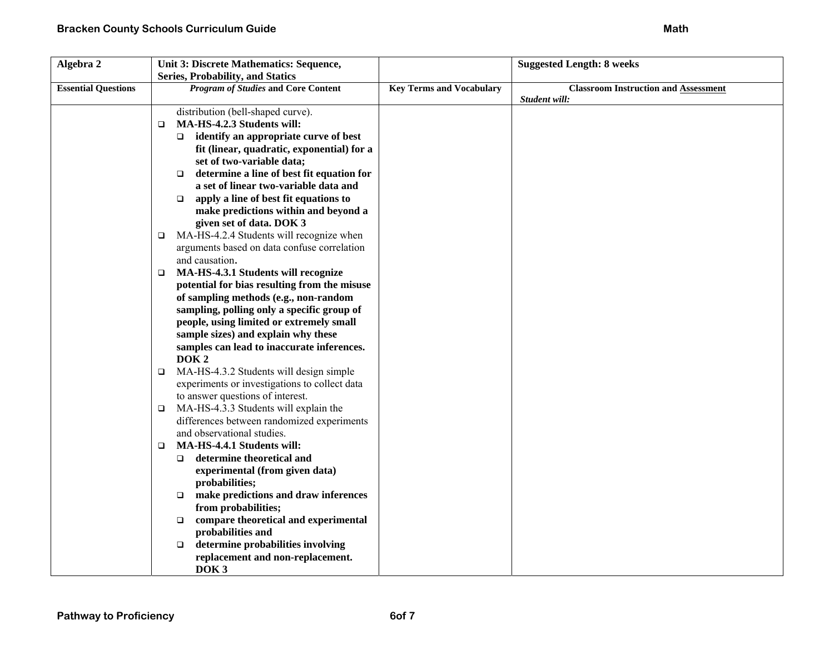| Algebra 2                  | Unit 3: Discrete Mathematics: Sequence,             |                                 | <b>Suggested Length: 8 weeks</b>            |
|----------------------------|-----------------------------------------------------|---------------------------------|---------------------------------------------|
|                            | <b>Series, Probability, and Statics</b>             |                                 |                                             |
| <b>Essential Questions</b> | <b>Program of Studies and Core Content</b>          | <b>Key Terms and Vocabulary</b> | <b>Classroom Instruction and Assessment</b> |
|                            |                                                     |                                 | Student will:                               |
|                            | distribution (bell-shaped curve).                   |                                 |                                             |
|                            | MA-HS-4.2.3 Students will:<br>□                     |                                 |                                             |
|                            | identify an appropriate curve of best<br>$\Box$     |                                 |                                             |
|                            | fit (linear, quadratic, exponential) for a          |                                 |                                             |
|                            | set of two-variable data;                           |                                 |                                             |
|                            | determine a line of best fit equation for<br>$\Box$ |                                 |                                             |
|                            | a set of linear two-variable data and               |                                 |                                             |
|                            | apply a line of best fit equations to<br>$\Box$     |                                 |                                             |
|                            | make predictions within and beyond a                |                                 |                                             |
|                            | given set of data. DOK 3                            |                                 |                                             |
|                            | MA-HS-4.2.4 Students will recognize when<br>□       |                                 |                                             |
|                            | arguments based on data confuse correlation         |                                 |                                             |
|                            | and causation.                                      |                                 |                                             |
|                            | MA-HS-4.3.1 Students will recognize<br>$\Box$       |                                 |                                             |
|                            | potential for bias resulting from the misuse        |                                 |                                             |
|                            | of sampling methods (e.g., non-random               |                                 |                                             |
|                            | sampling, polling only a specific group of          |                                 |                                             |
|                            | people, using limited or extremely small            |                                 |                                             |
|                            | sample sizes) and explain why these                 |                                 |                                             |
|                            | samples can lead to inaccurate inferences.          |                                 |                                             |
|                            | DOK <sub>2</sub>                                    |                                 |                                             |
|                            | MA-HS-4.3.2 Students will design simple<br>$\Box$   |                                 |                                             |
|                            | experiments or investigations to collect data       |                                 |                                             |
|                            | to answer questions of interest.                    |                                 |                                             |
|                            | MA-HS-4.3.3 Students will explain the<br>$\Box$     |                                 |                                             |
|                            | differences between randomized experiments          |                                 |                                             |
|                            | and observational studies.                          |                                 |                                             |
|                            | MA-HS-4.4.1 Students will:<br>▫                     |                                 |                                             |
|                            | determine theoretical and<br>$\Box$                 |                                 |                                             |
|                            | experimental (from given data)                      |                                 |                                             |
|                            | probabilities;                                      |                                 |                                             |
|                            | make predictions and draw inferences<br>$\Box$      |                                 |                                             |
|                            | from probabilities;                                 |                                 |                                             |
|                            | compare theoretical and experimental<br>$\Box$      |                                 |                                             |
|                            | probabilities and                                   |                                 |                                             |
|                            | determine probabilities involving<br>$\Box$         |                                 |                                             |
|                            | replacement and non-replacement.                    |                                 |                                             |
|                            | DOK <sub>3</sub>                                    |                                 |                                             |